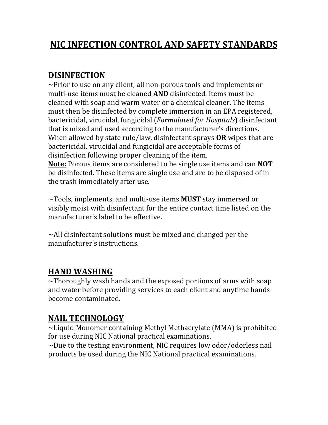# **NIC INFECTION CONTROL AND SAFETY STANDARDS**

#### **DISINFECTION**

 $\sim$ Prior to use on any client, all non-porous tools and implements or multi-use items must be cleaned **AND** disinfected. Items must be cleaned with soap and warm water or a chemical cleaner. The items must then be disinfected by complete immersion in an EPA registered, bactericidal, virucidal, fungicidal (*Formulated for Hospitals*) disinfectant that is mixed and used according to the manufacturer's directions. When allowed by state rule/law, disinfectant sprays OR wipes that are bactericidal, virucidal and fungicidal are acceptable forms of disinfection following proper cleaning of the item.

**Note:** Porous items are considered to be single use items and can **NOT** be disinfected. These items are single use and are to be disposed of in the trash immediately after use.

 $\sim$ Tools, implements, and multi-use items **MUST** stay immersed or visibly moist with disinfectant for the entire contact time listed on the manufacturer's label to be effective.

 $\sim$ All disinfectant solutions must be mixed and changed per the manufacturer's instructions.

### **HAND WASHING**

 $\sim$ Thoroughly wash hands and the exposed portions of arms with soap and water before providing services to each client and anytime hands become contaminated.

### **NAIL TECHNOLOGY**

 $\sim$ Liquid Monomer containing Methyl Methacrylate (MMA) is prohibited for use during NIC National practical examinations.

 $\sim$ Due to the testing environment, NIC requires low odor/odorless nail products be used during the NIC National practical examinations.